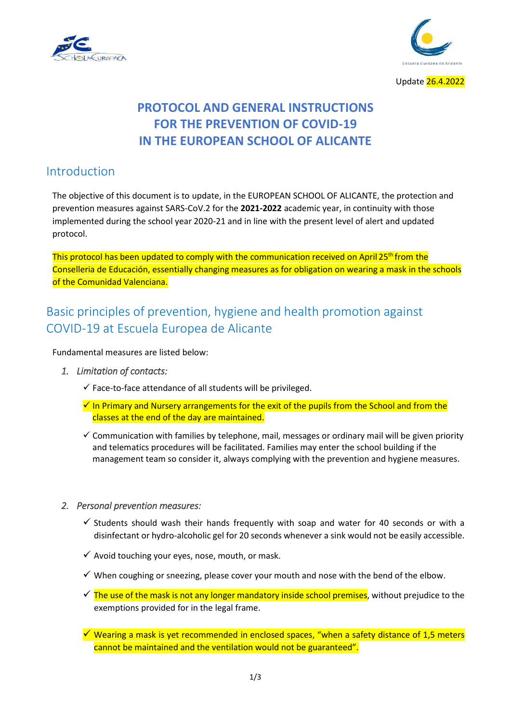



Update 26.4.2022

# **PROTOCOL AND GENERAL INSTRUCTIONS FOR THE PREVENTION OF COVID-19 IN THE EUROPEAN SCHOOL OF ALICANTE**

### Introduction

The objective of this document is to update, in the EUROPEAN SCHOOL OF ALICANTE, the protection and prevention measures against SARS-CoV.2 for the **2021-2022** academic year, in continuity with those implemented during the school year 2020-21 and in line with the present level of alert and updated protocol.

This protocol has been updated to comply with the communication received on April 25<sup>th</sup> from the Conselleria de Educación, essentially changing measures as for obligation on wearing a mask in the schools of the Comunidad Valenciana.

## Basic principles of prevention, hygiene and health promotion against COVID-19 at Escuela Europea de Alicante

Fundamental measures are listed below:

- *1. Limitation of contacts:* 
	- $\checkmark$  Face-to-face attendance of all students will be privileged.
	- $\checkmark$  In Primary and Nursery arrangements for the exit of the pupils from the School and from the classes at the end of the day are maintained.
	- $\checkmark$  Communication with families by telephone, mail, messages or ordinary mail will be given priority and telematics procedures will be facilitated. Families may enter the school building if the management team so consider it, always complying with the prevention and hygiene measures.

#### *2. Personal prevention measures:*

- $\checkmark$  Students should wash their hands frequently with soap and water for 40 seconds or with a disinfectant or hydro-alcoholic gel for 20 seconds whenever a sink would not be easily accessible.
- $\checkmark$  Avoid touching your eyes, nose, mouth, or mask.
- $\checkmark$  When coughing or sneezing, please cover your mouth and nose with the bend of the elbow.
- $\checkmark$  The use of the mask is not any longer mandatory inside school premises, without prejudice to the exemptions provided for in the legal frame.
- $\checkmark$  Wearing a mask is yet recommended in enclosed spaces, "when a safety distance of 1,5 meters cannot be maintained and the ventilation would not be guaranteed".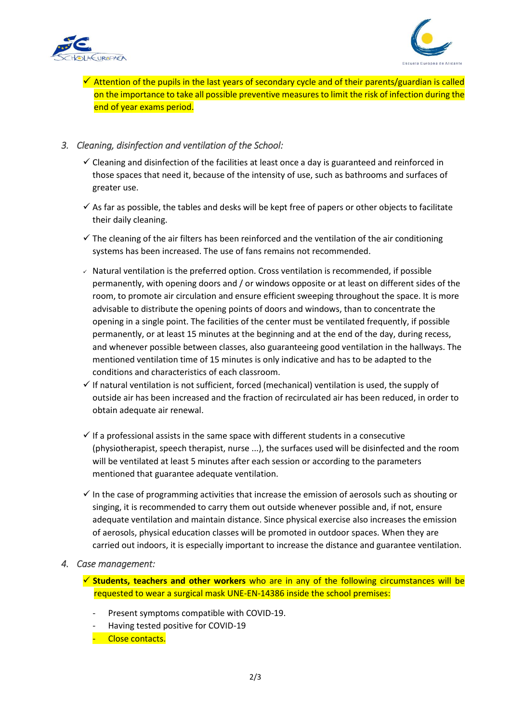



 $\checkmark$  Attention of the pupils in the last years of secondary cycle and of their parents/guardian is called on the importance to take all possible preventive measures to limit the risk of infection during the end of year exams period.

### *3. Cleaning, disinfection and ventilation of the School:*

- $\checkmark$  Cleaning and disinfection of the facilities at least once a day is guaranteed and reinforced in those spaces that need it, because of the intensity of use, such as bathrooms and surfaces of greater use.
- $\checkmark$  As far as possible, the tables and desks will be kept free of papers or other objects to facilitate their daily cleaning.
- $\checkmark$  The cleaning of the air filters has been reinforced and the ventilation of the air conditioning systems has been increased. The use of fans remains not recommended.
- ✓ Natural ventilation is the preferred option. Cross ventilation is recommended, if possible permanently, with opening doors and / or windows opposite or at least on different sides of the room, to promote air circulation and ensure efficient sweeping throughout the space. It is more advisable to distribute the opening points of doors and windows, than to concentrate the opening in a single point. The facilities of the center must be ventilated frequently, if possible permanently, or at least 15 minutes at the beginning and at the end of the day, during recess, and whenever possible between classes, also guaranteeing good ventilation in the hallways. The mentioned ventilation time of 15 minutes is only indicative and has to be adapted to the conditions and characteristics of each classroom.
- $\checkmark$  If natural ventilation is not sufficient, forced (mechanical) ventilation is used, the supply of outside air has been increased and the fraction of recirculated air has been reduced, in order to obtain adequate air renewal.
- $\checkmark$  If a professional assists in the same space with different students in a consecutive (physiotherapist, speech therapist, nurse ...), the surfaces used will be disinfected and the room will be ventilated at least 5 minutes after each session or according to the parameters mentioned that guarantee adequate ventilation.
- $\checkmark$  In the case of programming activities that increase the emission of aerosols such as shouting or singing, it is recommended to carry them out outside whenever possible and, if not, ensure adequate ventilation and maintain distance. Since physical exercise also increases the emission of aerosols, physical education classes will be promoted in outdoor spaces. When they are carried out indoors, it is especially important to increase the distance and guarantee ventilation.

#### *4. Case management:*

- ✓ **Students, teachers and other workers** who are in any of the following circumstances will be requested to wear a surgical mask UNE-EN-14386 inside the school premises:
	- Present symptoms compatible with COVID-19.
	- Having tested positive for COVID-19
	- Close contacts.